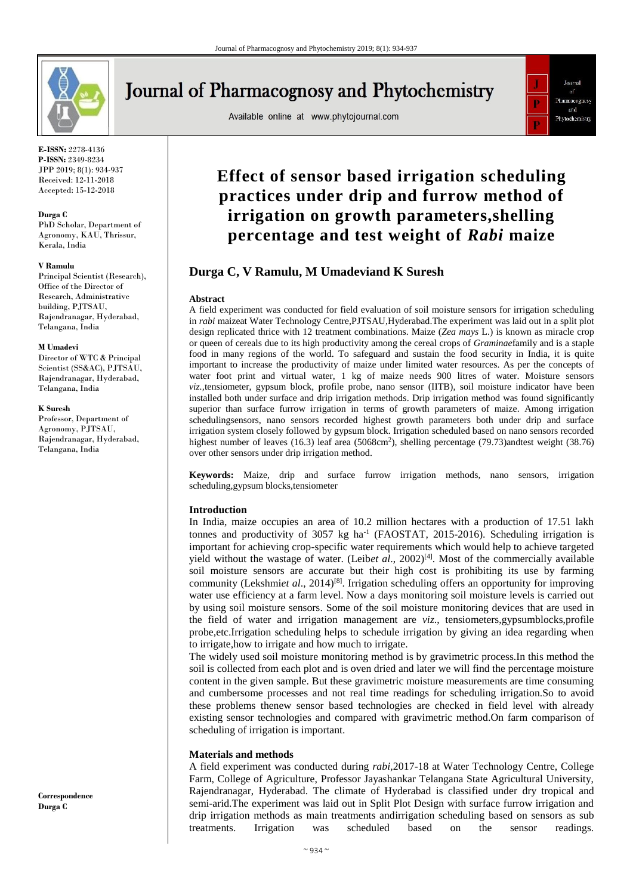

**E-ISSN:** 2278-4136 **P-ISSN:** 2349-8234 JPP 2019; 8(1): 934-937 Received: 12-11-2018 Accepted: 15-12-2018

#### **Durga C**

PhD Scholar, Department of Agronomy, KAU, Thrissur, Kerala, India

#### **V Ramulu**

Principal Scientist (Research), Office of the Director of Research, Administrative building, PJTSAU, Rajendranagar, Hyderabad, Telangana, India

#### **M Umadevi**

Director of WTC & Principal Scientist (SS&AC), PJTSAU, Rajendranagar, Hyderabad, Telangana, India

#### **K Suresh**

Professor, Department of Agronomy, PJTSAU, Rajendranagar, Hyderabad, Telangana, India

**Correspondence Durga C**

# **Journal of Pharmacognosy and Phytochemistry**

Available online at www.phytojournal.com



## **Effect of sensor based irrigation scheduling practices under drip and furrow method of irrigation on growth parameters,shelling percentage and test weight of** *Rabi* **maize**

## **Durga C, V Ramulu, M Umadeviand K Suresh**

#### **Abstract**

A field experiment was conducted for field evaluation of soil moisture sensors for irrigation scheduling in *rabi* maizeat Water Technology Centre,PJTSAU,Hyderabad.The experiment was laid out in a split plot design replicated thrice with 12 treatment combinations. Maize (*Zea mays* L.) is known as miracle crop or queen of cereals due to its high productivity among the cereal crops of *Graminae*family and is a staple food in many regions of the world. To safeguard and sustain the food security in India, it is quite important to increase the productivity of maize under limited water resources. As per the concepts of water foot print and virtual water, 1 kg of maize needs 900 litres of water. Moisture sensors *viz.,*tensiometer, gypsum block, profile probe, nano sensor (IITB), soil moisture indicator have been installed both under surface and drip irrigation methods. Drip irrigation method was found significantly superior than surface furrow irrigation in terms of growth parameters of maize. Among irrigation schedulingsensors, nano sensors recorded highest growth parameters both under drip and surface irrigation system closely followed by gypsum block. Irrigation scheduled based on nano sensors recorded highest number of leaves (16.3) leaf area (5068cm<sup>2</sup>), shelling percentage (79.73)andtest weight (38.76) over other sensors under drip irrigation method.

**Keywords:** Maize, drip and surface furrow irrigation methods, nano sensors, irrigation scheduling,gypsum blocks,tensiometer

#### **Introduction**

In India, maize occupies an area of 10.2 million hectares with a production of 17.51 lakh tonnes and productivity of 3057 kg ha<sup>-1</sup> (FAOSTAT, 2015-2016). Scheduling irrigation is important for achieving crop-specific water requirements which would help to achieve targeted yield without the wastage of water. (Leibet al., 2002)<sup>[4]</sup>. Most of the commercially available soil moisture sensors are accurate but their high cost is prohibiting its use by farming community (Lekshmi*et al*., 2014)[8] . Irrigation scheduling offers an opportunity for improving water use efficiency at a farm level. Now a days monitoring soil moisture levels is carried out by using soil moisture sensors. Some of the soil moisture monitoring devices that are used in the field of water and irrigation management are *viz*., tensiometers,gypsumblocks,profile probe,etc.Irrigation scheduling helps to schedule irrigation by giving an idea regarding when to irrigate,how to irrigate and how much to irrigate.

The widely used soil moisture monitoring method is by gravimetric process.In this method the soil is collected from each plot and is oven dried and later we will find the percentage moisture content in the given sample. But these gravimetric moisture measurements are time consuming and cumbersome processes and not real time readings for scheduling irrigation.So to avoid these problems thenew sensor based technologies are checked in field level with already existing sensor technologies and compared with gravimetric method.On farm comparison of scheduling of irrigation is important.

#### **Materials and methods**

A field experiment was conducted during *rabi,*2017-18 at Water Technology Centre, College Farm, College of Agriculture, Professor Jayashankar Telangana State Agricultural University, Rajendranagar, Hyderabad. The climate of Hyderabad is classified under dry tropical and semi-arid.The experiment was laid out in Split Plot Design with surface furrow irrigation and drip irrigation methods as main treatments andirrigation scheduling based on sensors as sub treatments. Irrigation was scheduled based on the sensor readings.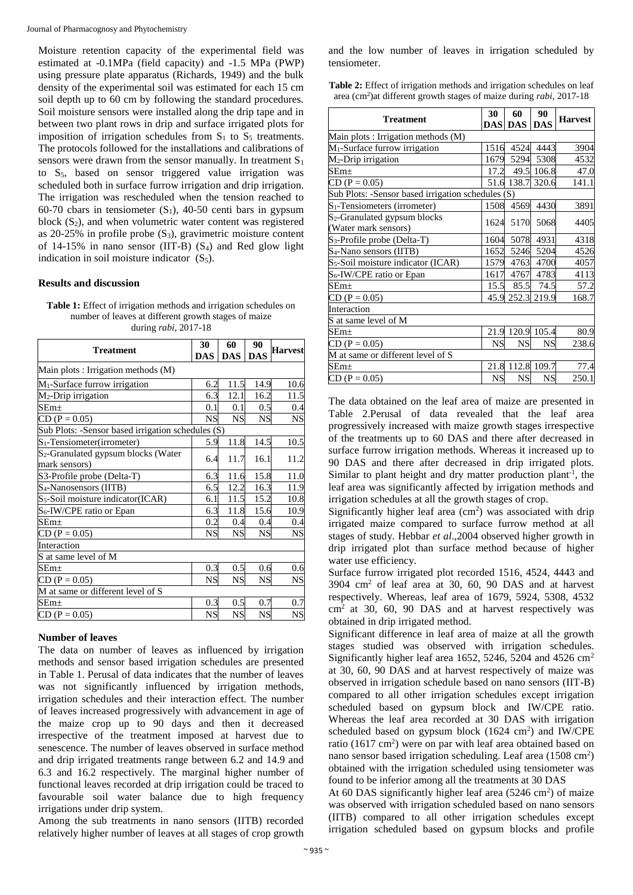Moisture retention capacity of the experimental field was estimated at -0.1MPa (field capacity) and -1.5 MPa (PWP) using pressure plate apparatus (Richards, 1949) and the bulk density of the experimental soil was estimated for each 15 cm soil depth up to 60 cm by following the standard procedures. Soil moisture sensors were installed along the drip tape and in between two plant rows in drip and surface irrigated plots for imposition of irrigation schedules from  $S_1$  to  $S_5$  treatments. The protocols followed for the installations and calibrations of sensors were drawn from the sensor manually. In treatment  $S_1$ to  $S_5$ , based on sensor triggered value irrigation was scheduled both in surface furrow irrigation and drip irrigation. The irrigation was rescheduled when the tension reached to 60-70 cbars in tensiometer  $(S_1)$ , 40-50 centi bars in gypsum block  $(S_2)$ , and when volumetric water content was registered as  $20-25%$  in profile probe  $(S_3)$ , gravimetric moisture content of  $14-15\%$  in nano sensor (IIT-B) (S<sub>4</sub>) and Red glow light indication in soil moisture indicator  $(S_5)$ .

#### **Results and discussion**

| <b>Table 1:</b> Effect of irrigation methods and irrigation schedules on |
|--------------------------------------------------------------------------|
| number of leaves at different growth stages of maize                     |
| during $rabi$ , 2017-18                                                  |

| 30                                  | 60                     | 90                                                                                                                                                        | <b>Harvest</b>                                                                                                                                                                                                                              |  |  |  |
|-------------------------------------|------------------------|-----------------------------------------------------------------------------------------------------------------------------------------------------------|---------------------------------------------------------------------------------------------------------------------------------------------------------------------------------------------------------------------------------------------|--|--|--|
| <b>DAS</b>                          | <b>DAS</b>             | <b>DAS</b>                                                                                                                                                |                                                                                                                                                                                                                                             |  |  |  |
| Main plots : Irrigation methods (M) |                        |                                                                                                                                                           |                                                                                                                                                                                                                                             |  |  |  |
|                                     |                        |                                                                                                                                                           | 10.6                                                                                                                                                                                                                                        |  |  |  |
|                                     | 12.1                   |                                                                                                                                                           | 11.5                                                                                                                                                                                                                                        |  |  |  |
| 0.1                                 | 0.1                    |                                                                                                                                                           | 0.4                                                                                                                                                                                                                                         |  |  |  |
|                                     |                        |                                                                                                                                                           | <b>NS</b>                                                                                                                                                                                                                                   |  |  |  |
|                                     |                        |                                                                                                                                                           |                                                                                                                                                                                                                                             |  |  |  |
|                                     |                        |                                                                                                                                                           | 10.5                                                                                                                                                                                                                                        |  |  |  |
|                                     |                        |                                                                                                                                                           | 11.2                                                                                                                                                                                                                                        |  |  |  |
|                                     |                        |                                                                                                                                                           |                                                                                                                                                                                                                                             |  |  |  |
|                                     |                        |                                                                                                                                                           | 11.0                                                                                                                                                                                                                                        |  |  |  |
|                                     |                        |                                                                                                                                                           | 11.9                                                                                                                                                                                                                                        |  |  |  |
| 6.1                                 |                        |                                                                                                                                                           | 10.8                                                                                                                                                                                                                                        |  |  |  |
|                                     |                        |                                                                                                                                                           | 10.9                                                                                                                                                                                                                                        |  |  |  |
|                                     |                        |                                                                                                                                                           | 0.4                                                                                                                                                                                                                                         |  |  |  |
|                                     | <b>NS</b>              |                                                                                                                                                           | <b>NS</b>                                                                                                                                                                                                                                   |  |  |  |
|                                     |                        |                                                                                                                                                           |                                                                                                                                                                                                                                             |  |  |  |
|                                     |                        |                                                                                                                                                           |                                                                                                                                                                                                                                             |  |  |  |
|                                     |                        |                                                                                                                                                           | 0.6                                                                                                                                                                                                                                         |  |  |  |
|                                     |                        |                                                                                                                                                           | <b>NS</b>                                                                                                                                                                                                                                   |  |  |  |
|                                     |                        |                                                                                                                                                           |                                                                                                                                                                                                                                             |  |  |  |
|                                     |                        |                                                                                                                                                           | 0.7                                                                                                                                                                                                                                         |  |  |  |
|                                     | <b>NS</b>              |                                                                                                                                                           | NS                                                                                                                                                                                                                                          |  |  |  |
|                                     | <b>NS</b><br><b>NS</b> | 6.2<br>6.3<br><b>NS</b><br>Sub Plots: -Sensor based irrigation schedules (S)<br>5.9<br>11.7<br>6.4<br>6.3<br>6.5<br>6.3<br>0.2<br>0.3<br><b>NS</b><br>0.3 | 11.5<br>14.9<br>16.2<br>0.5<br><b>NS</b><br><b>NS</b><br>11.8<br>14.5<br>16.1<br>11.6<br>15.8<br>16.3<br>12.2<br>15.2<br>11.5<br>11.8<br>15.6<br>0.4<br>0.4<br><b>NS</b><br>0.5<br>0.6<br><b>NS</b><br><b>NS</b><br>0.7<br>0.5<br><b>NS</b> |  |  |  |

#### **Number of leaves**

The data on number of leaves as influenced by irrigation methods and sensor based irrigation schedules are presented in Table 1. Perusal of data indicates that the number of leaves was not significantly influenced by irrigation methods, irrigation schedules and their interaction effect. The number of leaves increased progressively with advancement in age of the maize crop up to 90 days and then it decreased irrespective of the treatment imposed at harvest due to senescence. The number of leaves observed in surface method and drip irrigated treatments range between 6.2 and 14.9 and 6.3 and 16.2 respectively. The marginal higher number of functional leaves recorded at drip irrigation could be traced to favourable soil water balance due to high frequency irrigations under drip system.

Among the sub treatments in nano sensors (IITB) recorded relatively higher number of leaves at all stages of crop growth and the low number of leaves in irrigation scheduled by tensiometer.

Table 2: Effect of irrigation methods and irrigation schedules on leaf area (cm<sup>2</sup> )at different growth stages of maize during *rabi,* 2017-18

| <b>Treatment</b>                                                 | 30        | 60               | 90         | <b>Harvest</b> |  |  |
|------------------------------------------------------------------|-----------|------------------|------------|----------------|--|--|
|                                                                  |           | <b>DAS DAS</b>   | <b>DAS</b> |                |  |  |
| Main plots : Irrigation methods (M)                              |           |                  |            |                |  |  |
| M <sub>1</sub> -Surface furrow irrigation                        | 1516      | 4524             | 4443       | 3904           |  |  |
| $M_2$ -Drip irrigation                                           | 1679      | 5294             | 5308       | 4532           |  |  |
| SEm+                                                             | 17.2      |                  | 49.5 106.8 | 47.0           |  |  |
| $CD (P = 0.05)$                                                  |           | 51.6 138.7 320.6 |            | 141.1          |  |  |
| Sub Plots: -Sensor based irrigation schedules (S)                |           |                  |            |                |  |  |
| $S_1$ -Tensiometers (irrometer)                                  | 1508      | 4569             | 4430       | 3891           |  |  |
| S <sub>2</sub> -Granulated gypsum blocks<br>(Water mark sensors) | 1624      | 5170             | 5068       | 4405           |  |  |
| S <sub>3</sub> -Profile probe (Delta-T)                          | 1604      | 5078             | 4931       | 4318           |  |  |
| S <sub>4</sub> -Nano sensors (IITB)                              | 1652      | 5246             | 5204       | 4526           |  |  |
| S <sub>5</sub> -Soil moisture indicator (ICAR)                   | 1579      | 4763             | 4700       | 4057           |  |  |
| S <sub>6</sub> -IW/CPE ratio or Epan                             | 1617      | 4767             | 4783       | 4113           |  |  |
| $SEm\pm$                                                         | 15.5      | 85.5             | 74.5       | 57.2           |  |  |
| $CD (P = 0.05)$                                                  |           | 45.9 252.3 219.9 |            | 168.7          |  |  |
| Interaction                                                      |           |                  |            |                |  |  |
| S at same level of M                                             |           |                  |            |                |  |  |
| $\text{SEm}\pm$                                                  |           | 21.9 120.9 105.4 |            | 80.9           |  |  |
| $CD (P = 0.05)$                                                  | <b>NS</b> | <b>NS</b>        | <b>NS</b>  | 238.6          |  |  |
| M at same or different level of S                                |           |                  |            |                |  |  |
| $SEm\pm$                                                         | 21.8      | 112.8            | 109.7      | 77.4           |  |  |
| $CD (P = 0.05)$                                                  | NS        | <b>NS</b>        | <b>NS</b>  | 250.1          |  |  |

The data obtained on the leaf area of maize are presented in Table 2.Perusal of data revealed that the leaf area progressively increased with maize growth stages irrespective of the treatments up to 60 DAS and there after decreased in surface furrow irrigation methods. Whereas it increased up to 90 DAS and there after decreased in drip irrigated plots. Similar to plant height and dry matter production plant<sup>-1</sup>, the leaf area was significantly affected by irrigation methods and irrigation schedules at all the growth stages of crop.

Significantly higher leaf area  $(cm<sup>2</sup>)$  was associated with drip irrigated maize compared to surface furrow method at all stages of study. Hebbar *et al*.,2004 observed higher growth in drip irrigated plot than surface method because of higher water use efficiency.

Surface furrow irrigated plot recorded 1516, 4524, 4443 and  $3904$  cm<sup>2</sup> of leaf area at 30, 60, 90 DAS and at harvest respectively. Whereas, leaf area of 1679, 5924, 5308, 4532  $cm<sup>2</sup>$  at 30, 60, 90 DAS and at harvest respectively was obtained in drip irrigated method.

Significant difference in leaf area of maize at all the growth stages studied was observed with irrigation schedules. Significantly higher leaf area 1652, 5246, 5204 and 4526  $\text{cm}^2$ at 30, 60, 90 DAS and at harvest respectively of maize was observed in irrigation schedule based on nano sensors (IIT-B) compared to all other irrigation schedules except irrigation scheduled based on gypsum block and IW/CPE ratio. Whereas the leaf area recorded at 30 DAS with irrigation scheduled based on gypsum block  $(1624 \text{ cm}^2)$  and IW/CPE ratio (1617 cm<sup>2</sup>) were on par with leaf area obtained based on nano sensor based irrigation scheduling. Leaf area (1508 cm<sup>2</sup>) obtained with the irrigation scheduled using tensiometer was found to be inferior among all the treatments at 30 DAS

At 60 DAS significantly higher leaf area  $(5246 \text{ cm}^2)$  of maize was observed with irrigation scheduled based on nano sensors (IITB) compared to all other irrigation schedules except irrigation scheduled based on gypsum blocks and profile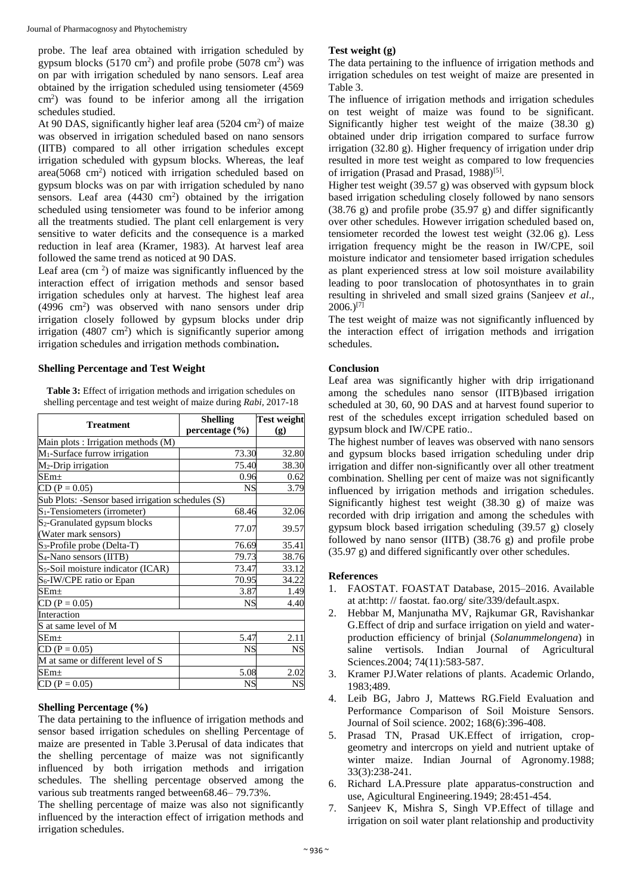probe. The leaf area obtained with irrigation scheduled by gypsum blocks  $(5170 \text{ cm}^2)$  and profile probe  $(5078 \text{ cm}^2)$  was on par with irrigation scheduled by nano sensors. Leaf area obtained by the irrigation scheduled using tensiometer (4569 cm<sup>2</sup> ) was found to be inferior among all the irrigation schedules studied.

At 90 DAS, significantly higher leaf area  $(5204 \text{ cm}^2)$  of maize was observed in irrigation scheduled based on nano sensors (IITB) compared to all other irrigation schedules except irrigation scheduled with gypsum blocks. Whereas, the leaf area(5068 cm<sup>2</sup>) noticed with irrigation scheduled based on gypsum blocks was on par with irrigation scheduled by nano sensors. Leaf area  $(4430 \text{ cm}^2)$  obtained by the irrigation scheduled using tensiometer was found to be inferior among all the treatments studied. The plant cell enlargement is very sensitive to water deficits and the consequence is a marked reduction in leaf area (Kramer, 1983). At harvest leaf area followed the same trend as noticed at 90 DAS.

Leaf area  $\rm (cm<sup>2</sup>)$  of maize was significantly influenced by the interaction effect of irrigation methods and sensor based irrigation schedules only at harvest. The highest leaf area (4996 cm<sup>2</sup>) was observed with nano sensors under drip irrigation closely followed by gypsum blocks under drip irrigation  $(4807 \text{ cm}^2)$  which is significantly superior among irrigation schedules and irrigation methods combination**.**

## **Shelling Percentage and Test Weight**

**Table 3:** Effect of irrigation methods and irrigation schedules on shelling percentage and test weight of maize during *Rabi,* 2017-18

| <b>Treatment</b>                                  | <b>Shelling</b> | <b>Test weight</b> |  |
|---------------------------------------------------|-----------------|--------------------|--|
|                                                   | percentage (%)  |                    |  |
| Main plots : Irrigation methods (M)               |                 |                    |  |
| M <sub>1</sub> -Surface furrow irrigation         | 73.30           | 32.80              |  |
| $M_2$ -Drip irrigation                            | 75.40           | 38.30              |  |
| $SEm+$                                            | 0.96            | 0.62               |  |
| $CD (P = 0.05)$                                   | <b>NS</b>       | 3.79               |  |
| Sub Plots: -Sensor based irrigation schedules (S) |                 |                    |  |
| $S_1$ -Tensiometers (irrometer)                   | 68.46           | 32.06              |  |
| S <sub>2</sub> -Granulated gypsum blocks          | 77.07           | 39.57              |  |
| (Water mark sensors)                              |                 |                    |  |
| S <sub>3</sub> -Profile probe (Delta-T)           | 76.69           | 35.41              |  |
| S <sub>4</sub> -Nano sensors (IITB)               | 79.73           | 38.76              |  |
| S <sub>5</sub> -Soil moisture indicator (ICAR)    | 73.47           | 33.12              |  |
| S <sub>6</sub> -IW/CPE ratio or Epan              | 70.95           | 34.22              |  |
| $SEm+$                                            | 3.87            | 1.49               |  |
| $CD (P = 0.05)$                                   | NS              | 4.40               |  |
| Interaction                                       |                 |                    |  |
| S at same level of M                              |                 |                    |  |
| SEm+                                              | 5.47            | 2.11               |  |
| $CD (P = 0.05)$                                   | <b>NS</b>       | NS                 |  |
| M at same or different level of S                 |                 |                    |  |
| $SEm+$                                            | 5.08            | 2.02               |  |
| $CD (P = 0.05)$                                   | <b>NS</b>       | <b>NS</b>          |  |

## **Shelling Percentage (%)**

The data pertaining to the influence of irrigation methods and sensor based irrigation schedules on shelling Percentage of maize are presented in Table 3.Perusal of data indicates that the shelling percentage of maize was not significantly influenced by both irrigation methods and irrigation schedules. The shelling percentage observed among the various sub treatments ranged between68.46– 79.73%.

The shelling percentage of maize was also not significantly influenced by the interaction effect of irrigation methods and irrigation schedules.

## **Test weight (g)**

The data pertaining to the influence of irrigation methods and irrigation schedules on test weight of maize are presented in Table 3.

The influence of irrigation methods and irrigation schedules on test weight of maize was found to be significant. Significantly higher test weight of the maize  $(38.30 \text{ g})$ obtained under drip irrigation compared to surface furrow irrigation (32.80 g). Higher frequency of irrigation under drip resulted in more test weight as compared to low frequencies of irrigation (Prasad and Prasad, 1988)<sup>[5]</sup>.

Higher test weight (39.57 g) was observed with gypsum block based irrigation scheduling closely followed by nano sensors (38.76 g) and profile probe (35.97 g) and differ significantly over other schedules. However irrigation scheduled based on, tensiometer recorded the lowest test weight (32.06 g). Less irrigation frequency might be the reason in IW/CPE, soil moisture indicator and tensiometer based irrigation schedules as plant experienced stress at low soil moisture availability leading to poor translocation of photosynthates in to grain resulting in shriveled and small sized grains (Sanjeev *et al*.,  $2006.$ <sup>[7]</sup>

The test weight of maize was not significantly influenced by the interaction effect of irrigation methods and irrigation schedules.

## **Conclusion**

Leaf area was significantly higher with drip irrigationand among the schedules nano sensor (IITB)based irrigation scheduled at 30, 60, 90 DAS and at harvest found superior to rest of the schedules except irrigation scheduled based on gypsum block and IW/CPE ratio..

The highest number of leaves was observed with nano sensors and gypsum blocks based irrigation scheduling under drip irrigation and differ non-significantly over all other treatment combination. Shelling per cent of maize was not significantly influenced by irrigation methods and irrigation schedules. Significantly highest test weight (38.30 g) of maize was recorded with drip irrigation and among the schedules with gypsum block based irrigation scheduling (39.57 g) closely followed by nano sensor (IITB) (38.76 g) and profile probe (35.97 g) and differed significantly over other schedules.

### **References**

- 1. FAOSTAT. FOASTAT Database, 2015–2016. Available at at:http: // faostat. fao.org/ site/339/default.aspx.
- 2. Hebbar M, Manjunatha MV, Rajkumar GR, Ravishankar G.Effect of drip and surface irrigation on yield and waterproduction efficiency of brinjal (*Solanummelongena*) in saline vertisols. Indian Journal of Agricultural Sciences.2004; 74(11):583-587.
- 3. Kramer PJ.Water relations of plants. Academic Orlando, 1983;489.
- 4. Leib BG, Jabro J, Mattews RG.Field Evaluation and Performance Comparison of Soil Moisture Sensors. Journal of Soil science. 2002; 168(6):396-408.
- 5. Prasad TN, Prasad UK.Effect of irrigation, cropgeometry and intercrops on yield and nutrient uptake of winter maize. Indian Journal of Agronomy.1988; 33(3):238-241.
- 6. Richard LA.Pressure plate apparatus-construction and use, Agicultural Engineering.1949; 28:451-454.
- 7. Sanjeev K, Mishra S, Singh VP.Effect of tillage and irrigation on soil water plant relationship and productivity